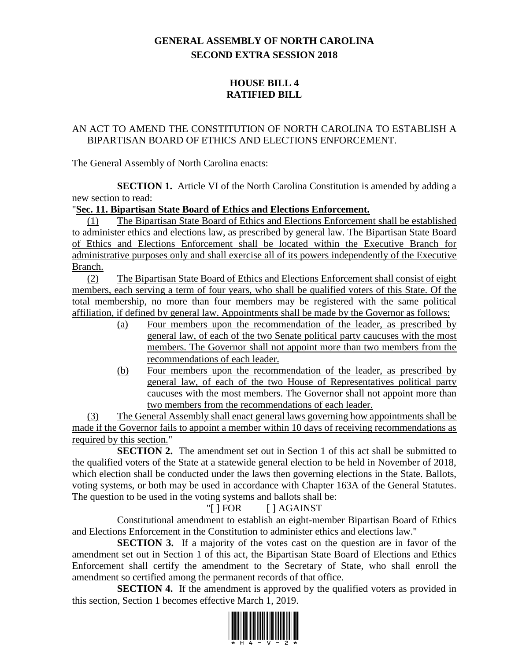# **GENERAL ASSEMBLY OF NORTH CAROLINA SECOND EXTRA SESSION 2018**

## **HOUSE BILL 4 RATIFIED BILL**

### AN ACT TO AMEND THE CONSTITUTION OF NORTH CAROLINA TO ESTABLISH A BIPARTISAN BOARD OF ETHICS AND ELECTIONS ENFORCEMENT.

The General Assembly of North Carolina enacts:

**SECTION 1.** Article VI of the North Carolina Constitution is amended by adding a new section to read:

#### "**Sec. 11. Bipartisan State Board of Ethics and Elections Enforcement.**

(1) The Bipartisan State Board of Ethics and Elections Enforcement shall be established to administer ethics and elections law, as prescribed by general law. The Bipartisan State Board of Ethics and Elections Enforcement shall be located within the Executive Branch for administrative purposes only and shall exercise all of its powers independently of the Executive Branch.

(2) The Bipartisan State Board of Ethics and Elections Enforcement shall consist of eight members, each serving a term of four years, who shall be qualified voters of this State. Of the total membership, no more than four members may be registered with the same political affiliation, if defined by general law. Appointments shall be made by the Governor as follows:

- (a) Four members upon the recommendation of the leader, as prescribed by general law, of each of the two Senate political party caucuses with the most members. The Governor shall not appoint more than two members from the recommendations of each leader.
- (b) Four members upon the recommendation of the leader, as prescribed by general law, of each of the two House of Representatives political party caucuses with the most members. The Governor shall not appoint more than two members from the recommendations of each leader.

(3) The General Assembly shall enact general laws governing how appointments shall be made if the Governor fails to appoint a member within 10 days of receiving recommendations as required by this section."

**SECTION 2.** The amendment set out in Section 1 of this act shall be submitted to the qualified voters of the State at a statewide general election to be held in November of 2018, which election shall be conducted under the laws then governing elections in the State. Ballots, voting systems, or both may be used in accordance with Chapter 163A of the General Statutes. The question to be used in the voting systems and ballots shall be:

## "[ ] FOR [ ] AGAINST

Constitutional amendment to establish an eight-member Bipartisan Board of Ethics and Elections Enforcement in the Constitution to administer ethics and elections law."

**SECTION 3.** If a majority of the votes cast on the question are in favor of the amendment set out in Section 1 of this act, the Bipartisan State Board of Elections and Ethics Enforcement shall certify the amendment to the Secretary of State, who shall enroll the amendment so certified among the permanent records of that office.

**SECTION 4.** If the amendment is approved by the qualified voters as provided in this section, Section 1 becomes effective March 1, 2019.